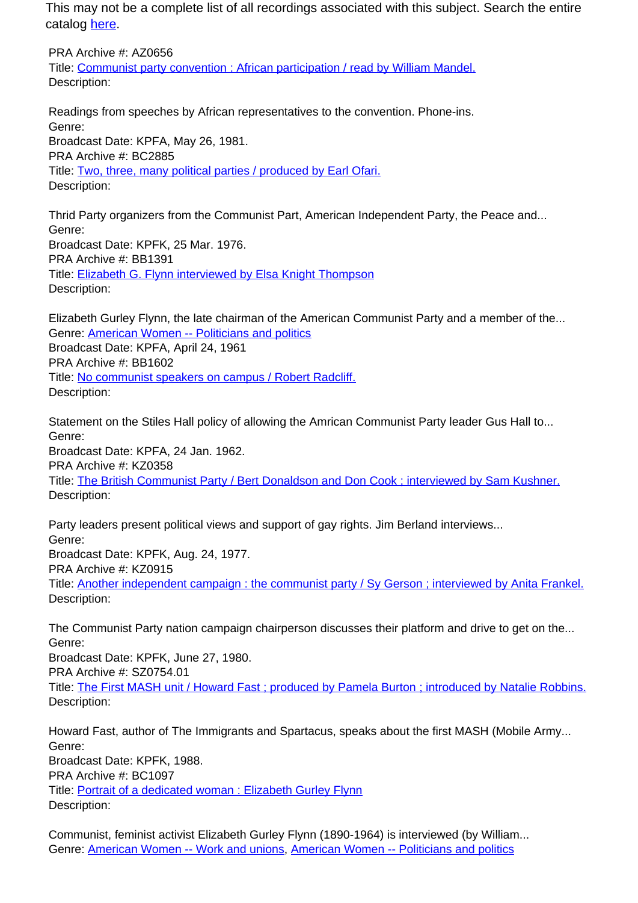This may not be a complete list of all recordings associated with this subject. Search the entire catalog [here.](http://pacificaradioarchives.org/keyword-search)

PRA Archive #: AZ0656 Title: Communist party convention : African participation / read by William Mandel. Description:

Readings from speeches by African representatives to the convention. Phone-ins. Genre: Broadcast Date: KPFA, May 26, 1981. PRA Archive #: BC2885 Title: Two, three, many political parties / produced by Earl Ofari. Description:

Thrid Party organizers from the Communist Part, American Independent Party, the Peace and... Genre: Broadcast Date: KPFK, 25 Mar. 1976. PRA Archive #: BB1391 Title: Elizabeth G. Flynn interviewed by Elsa Knight Thompson Description:

Elizabeth Gurley Flynn, the late chairman of the American Communist Party and a member of the... Genre: American Women -- Politicians and politics Broadcast Date: KPFA, April 24, 1961 PRA Archive #: BB1602 Title: No communist speakers on campus / Robert Radcliff. Description:

Statement on the Stiles Hall policy of allowing the Amrican Communist Party leader Gus Hall to... Genre: Broadcast Date: KPFA, 24 Jan. 1962. PRA Archive #: KZ0358 Title: The British Communist Party / Bert Donaldson and Don Cook ; interviewed by Sam Kushner. Description:

Party leaders present political views and support of gay rights. Jim Berland interviews... Genre: Broadcast Date: KPFK, Aug. 24, 1977. PRA Archive #: KZ0915 Title: Another independent campaign : the communist party / Sy Gerson ; interviewed by Anita Frankel. Description:

The Communist Party nation campaign chairperson discusses their platform and drive to get on the... Genre:

Broadcast Date: KPFK, June 27, 1980. PRA Archive #: SZ0754.01

Title: The First MASH unit / Howard Fast ; produced by Pamela Burton ; introduced by Natalie Robbins. Description:

Howard Fast, author of The Immigrants and Spartacus, speaks about the first MASH (Mobile Army... Genre: Broadcast Date: KPFK, 1988. PRA Archive #: BC1097 Title: Portrait of a dedicated woman : Elizabeth Gurley Flynn Description:

Communist, feminist activist Elizabeth Gurley Flynn (1890-1964) is interviewed (by William... Genre: American Women -- Work and unions, American Women -- Politicians and politics